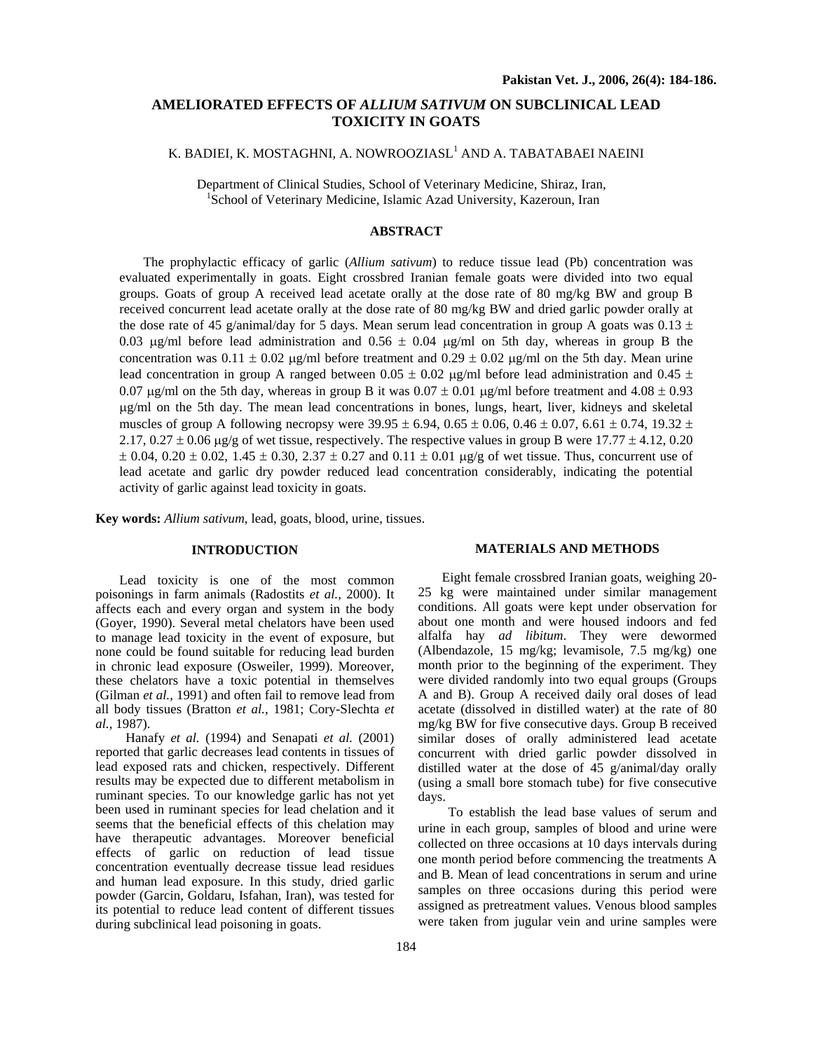# **AMELIORATED EFFECTS OF** *ALLIUM SATIVUM* **ON SUBCLINICAL LEAD TOXICITY IN GOATS**

# K. BADIEI, K. MOSTAGHNI, A. NOWROOZIASL<sup>1</sup> AND A. TABATABAEI NAEINI

Department of Clinical Studies, School of Veterinary Medicine, Shiraz, Iran, 1 <sup>1</sup>School of Veterinary Medicine, Islamic Azad University, Kazeroun, Iran

# **ABSTRACT**

The prophylactic efficacy of garlic (*Allium sativum*) to reduce tissue lead (Pb) concentration was evaluated experimentally in goats. Eight crossbred Iranian female goats were divided into two equal groups. Goats of group A received lead acetate orally at the dose rate of 80 mg/kg BW and group B received concurrent lead acetate orally at the dose rate of 80 mg/kg BW and dried garlic powder orally at the dose rate of 45 g/animal/day for 5 days. Mean serum lead concentration in group A goats was  $0.13 \pm 1$ 0.03  $\mu$ g/ml before lead administration and 0.56  $\pm$  0.04  $\mu$ g/ml on 5th day, whereas in group B the concentration was  $0.11 \pm 0.02$  µg/ml before treatment and  $0.29 \pm 0.02$  µg/ml on the 5th day. Mean urine lead concentration in group A ranged between  $0.05 \pm 0.02$  µg/ml before lead administration and  $0.45 \pm 0.02$ 0.07  $\mu$ g/ml on the 5th day, whereas in group B it was 0.07  $\pm$  0.01  $\mu$ g/ml before treatment and 4.08  $\pm$  0.93 µg/ml on the 5th day. The mean lead concentrations in bones, lungs, heart, liver, kidneys and skeletal muscles of group A following necropsy were  $39.95 \pm 6.94$ ,  $0.65 \pm 0.06$ ,  $0.46 \pm 0.07$ ,  $6.61 \pm 0.74$ ,  $19.32 \pm 0.005$ 2.17,  $0.27 \pm 0.06$   $\mu$ g/g of wet tissue, respectively. The respective values in group B were 17.77  $\pm$  4.12, 0.20  $\pm$  0.04, 0.20  $\pm$  0.02, 1.45  $\pm$  0.30, 2.37  $\pm$  0.27 and 0.11  $\pm$  0.01 µg/g of wet tissue. Thus, concurrent use of lead acetate and garlic dry powder reduced lead concentration considerably, indicating the potential activity of garlic against lead toxicity in goats.

**Key words:** *Allium sativum*, lead, goats, blood, urine, tissues.

## **INTRODUCTION**

Lead toxicity is one of the most common poisonings in farm animals (Radostits *et al.,* 2000). It affects each and every organ and system in the body (Goyer, 1990). Several metal chelators have been used to manage lead toxicity in the event of exposure, but none could be found suitable for reducing lead burden in chronic lead exposure (Osweiler, 1999). Moreover, these chelators have a toxic potential in themselves (Gilman *et al.,* 1991) and often fail to remove lead from all body tissues (Bratton *et al.,* 1981; Cory-Slechta *et al.,* 1987).

 Hanafy *et al.* (1994) and Senapati *et al.* (2001) reported that garlic decreases lead contents in tissues of lead exposed rats and chicken, respectively. Different results may be expected due to different metabolism in ruminant species. To our knowledge garlic has not yet been used in ruminant species for lead chelation and it seems that the beneficial effects of this chelation may have therapeutic advantages. Moreover beneficial effects of garlic on reduction of lead tissue concentration eventually decrease tissue lead residues and human lead exposure. In this study, dried garlic powder (Garcin, Goldaru, Isfahan, Iran), was tested for its potential to reduce lead content of different tissues during subclinical lead poisoning in goats.

## Eight female crossbred Iranian goats, weighing 20-

**MATERIALS AND METHODS** 

25 kg were maintained under similar management conditions. All goats were kept under observation for about one month and were housed indoors and fed alfalfa hay *ad libitum*. They were dewormed (Albendazole, 15 mg/kg; levamisole, 7.5 mg/kg) one month prior to the beginning of the experiment. They were divided randomly into two equal groups (Groups A and B). Group A received daily oral doses of lead acetate (dissolved in distilled water) at the rate of 80 mg/kg BW for five consecutive days. Group B received similar doses of orally administered lead acetate concurrent with dried garlic powder dissolved in distilled water at the dose of 45 g/animal/day orally (using a small bore stomach tube) for five consecutive days.

 To establish the lead base values of serum and urine in each group, samples of blood and urine were collected on three occasions at 10 days intervals during one month period before commencing the treatments A and B. Mean of lead concentrations in serum and urine samples on three occasions during this period were assigned as pretreatment values. Venous blood samples were taken from jugular vein and urine samples were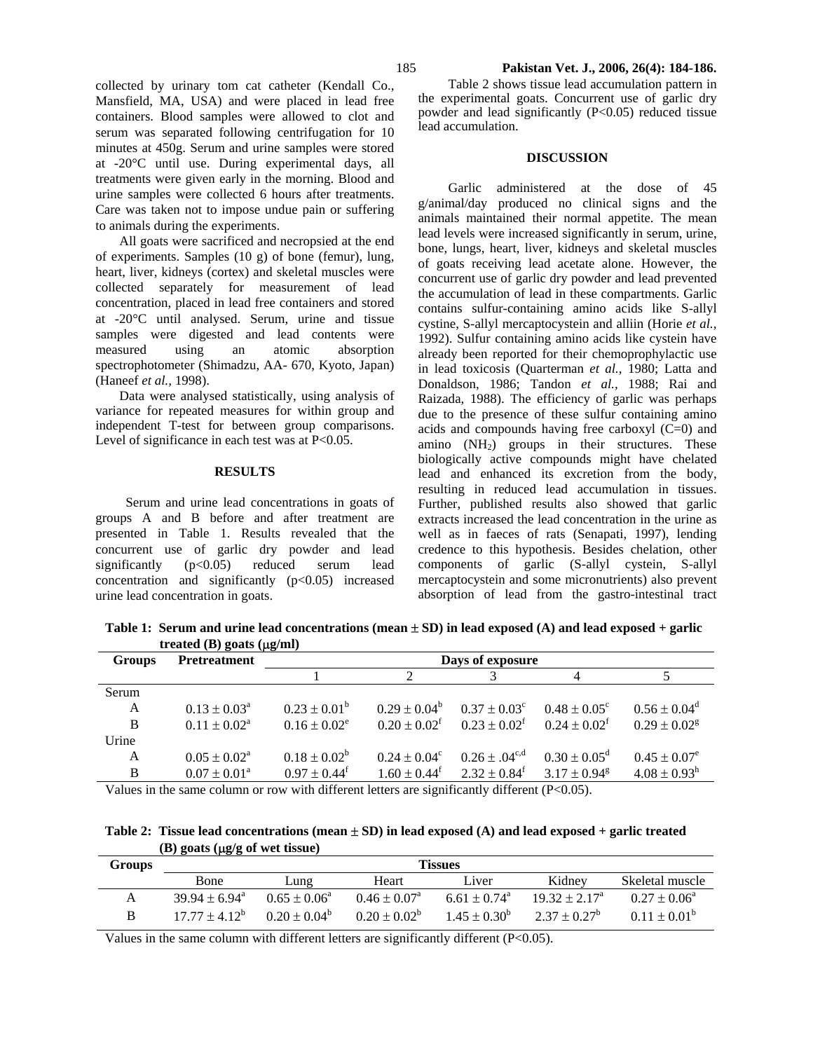collected by urinary tom cat catheter (Kendall Co., Mansfield, MA, USA) and were placed in lead free containers. Blood samples were allowed to clot and serum was separated following centrifugation for 10 minutes at 450g. Serum and urine samples were stored at -20°C until use. During experimental days, all treatments were given early in the morning. Blood and urine samples were collected 6 hours after treatments. Care was taken not to impose undue pain or suffering to animals during the experiments.

All goats were sacrificed and necropsied at the end of experiments. Samples (10 g) of bone (femur), lung, heart, liver, kidneys (cortex) and skeletal muscles were collected separately for measurement of lead concentration, placed in lead free containers and stored at -20°C until analysed. Serum, urine and tissue samples were digested and lead contents were measured using an atomic absorption spectrophotometer (Shimadzu, AA- 670, Kyoto, Japan) (Haneef *et al.,* 1998).

Data were analysed statistically, using analysis of variance for repeated measures for within group and independent T-test for between group comparisons. Level of significance in each test was at P<0.05.

### **RESULTS**

 Serum and urine lead concentrations in goats of groups A and B before and after treatment are presented in Table 1. Results revealed that the concurrent use of garlic dry powder and lead significantly (p<0.05) reduced serum lead concentration and significantly  $(p<0.05)$  increased urine lead concentration in goats.

 Table 2 shows tissue lead accumulation pattern in the experimental goats. Concurrent use of garlic dry powder and lead significantly (P<0.05) reduced tissue lead accumulation.

### **DISCUSSION**

 Garlic administered at the dose of 45 g/animal/day produced no clinical signs and the animals maintained their normal appetite. The mean lead levels were increased significantly in serum, urine, bone, lungs, heart, liver, kidneys and skeletal muscles of goats receiving lead acetate alone. However, the concurrent use of garlic dry powder and lead prevented the accumulation of lead in these compartments. Garlic contains sulfur-containing amino acids like S-allyl cystine, S-allyl mercaptocystein and alliin (Horie *et al.,* 1992). Sulfur containing amino acids like cystein have already been reported for their chemoprophylactic use in lead toxicosis (Quarterman *et al.,* 1980; Latta and Donaldson, 1986; Tandon *et al.,* 1988; Rai and Raizada, 1988). The efficiency of garlic was perhaps due to the presence of these sulfur containing amino acids and compounds having free carboxyl (C=0) and amino  $(NH<sub>2</sub>)$  groups in their structures. These biologically active compounds might have chelated lead and enhanced its excretion from the body, resulting in reduced lead accumulation in tissues. Further, published results also showed that garlic extracts increased the lead concentration in the urine as well as in faeces of rats (Senapati, 1997), lending credence to this hypothesis. Besides chelation, other components of garlic (S-allyl cystein, S-allyl mercaptocystein and some micronutrients) also prevent absorption of lead from the gastro-intestinal tract

Table 1: Serum and urine lead concentrations (mean  $\pm$  SD) in lead exposed (A) and lead exposed + garlic **treated (B) goats (**µ**g/ml)** 

| <b>Groups</b> | <b>Pretreatment</b>        | Days of exposure             |                   |                                                           |                            |                              |  |  |
|---------------|----------------------------|------------------------------|-------------------|-----------------------------------------------------------|----------------------------|------------------------------|--|--|
|               |                            |                              |                   |                                                           |                            |                              |  |  |
| Serum         |                            |                              |                   |                                                           |                            |                              |  |  |
| A             | $0.13 \pm 0.03^{\text{a}}$ | $0.23 \pm 0.01^b$            | $0.29 \pm 0.04^b$ | $0.37 \pm 0.03^c$                                         | $0.48 \pm 0.05^{\circ}$    | $0.56 \pm 0.04^d$            |  |  |
| B             | $0.11 \pm 0.02^{\text{a}}$ | $0.16 \pm 0.02^e$            | $0.20 \pm 0.02^f$ | $0.23 \pm 0.02^{\mathrm{f}}$ $0.24 \pm 0.02^{\mathrm{f}}$ |                            | $0.29 \pm 0.02$ <sup>g</sup> |  |  |
| Urine         |                            |                              |                   |                                                           |                            |                              |  |  |
| A             | $0.05 \pm 0.02^{\text{a}}$ | $0.18 \pm 0.02^b$            | $0.24 \pm 0.04^c$ | $0.26 \pm .04^{\text{c,d}}$                               | $0.30 \pm 0.05^{\rm d}$    | $0.45 \pm 0.07^e$            |  |  |
| B             | $0.07 \pm 0.01^{\text{a}}$ | $0.97 \pm 0.44$ <sup>f</sup> | $1.60 \pm 0.44^f$ | $2.32 \pm 0.84^f$                                         | $3.17 + 0.94$ <sup>g</sup> | $4.08 \pm 0.93$ <sup>h</sup> |  |  |
|               |                            |                              |                   |                                                           |                            |                              |  |  |

Values in the same column or row with different letters are significantly different  $(P<0.05)$ .

**Table 2: Tissue lead concentrations (mean** ± **SD) in lead exposed (A) and lead exposed + garlic treated (B) goats (**µ**g/g of wet tissue)**

| Groups | Tissues                   |                   |                         |                              |                 |                         |  |  |  |
|--------|---------------------------|-------------------|-------------------------|------------------------------|-----------------|-------------------------|--|--|--|
|        | <b>B</b> one              | Lung              | Heart                   | Liver                        | Kidney          | Skeletal muscle         |  |  |  |
|        | $39.94 + 6.94^{\text{a}}$ | $0.65 \pm 0.06^a$ | $0.46 \pm 0.07^{\circ}$ | $6.61 \pm 0.74$ <sup>a</sup> | $19.32 + 2.17a$ | $0.27 \pm 0.06^{\circ}$ |  |  |  |
| B      | $17\,77 + 4\,12^b$        | $0.20 \pm 0.04^b$ | $0.20 \pm 0.02^b$       | $1.45 \pm 0.30^b$            | $2.37 + 0.27^b$ | $0.11 \pm 0.01^b$       |  |  |  |

Values in the same column with different letters are significantly different (P<0.05).